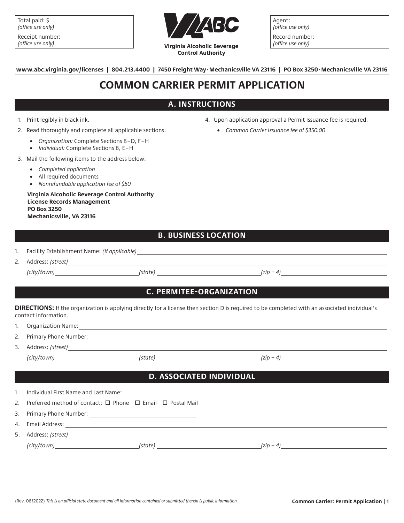| Total paid: \$ |                   |
|----------------|-------------------|
|                | (office use only) |

| Receipt number:   |
|-------------------|
| (office use only) |



Agent: (office use only) Record number:

(office use only)

**www.abc.virginia.gov/licenses | 804.213.4400 | 7450 Freight Way.Mechanicsville VA 23116 | PO Box 3250.Mechanicsville VA 23116**

## **COMMON CARRIER PERMIT APPLICATION**

### **A. INSTRUCTIONS**

#### 1. Print legibly in black ink.

- 2. Read thoroughly and complete all applicable sections.
	- *Organization:* Complete Sections B–D, F–H
	- *Individual:* Complete Sections B, E–H
- 3. Mail the following items to the address below:
	- *Completed application*
	- All required documents
	- *Nonrefundable application fee of \$50*

**Virginia Alcoholic Beverage Control Authority License Records Management PO Box 3250 Mechanicsville, VA 23116**

- 4. Upon application approval a Permit Issuance fee is required.
	- *Common Carrier Issuance fee of \$350.00*

### **B. BUSINESS LOCATION**

| 1. | Facility Establishment Name: (if applicable) |  |
|----|----------------------------------------------|--|
|    |                                              |  |

2. Address: *(street) (city/town) (state) (zip + 4)*

### **C. PERMITEE-ORGANIZATION**

**DIRECTIONS:** If the organization is applying directly for a license then section D is required to be completed with an associated individual's contact information.

- 1. Organization Name:
- 2. Primary Phone Number:
- 3. Address: *(street) (city/town) (state) (zip + 4)*

### **D. ASSOCIATED INDIVIDUAL**

| $\mathbf{1}$ . | Individual First Name and Last Name:                                         |
|----------------|------------------------------------------------------------------------------|
|                | 2. Preferred method of contact: $\Box$ Phone $\Box$ Email $\Box$ Postal Mail |
|                | 3. Primary Phone Number:                                                     |
|                | 4. Email Address:                                                            |
|                | 5. Address: (street)                                                         |
|                | (city/town)<br>(state)<br>$(z$ ip + 4)                                       |